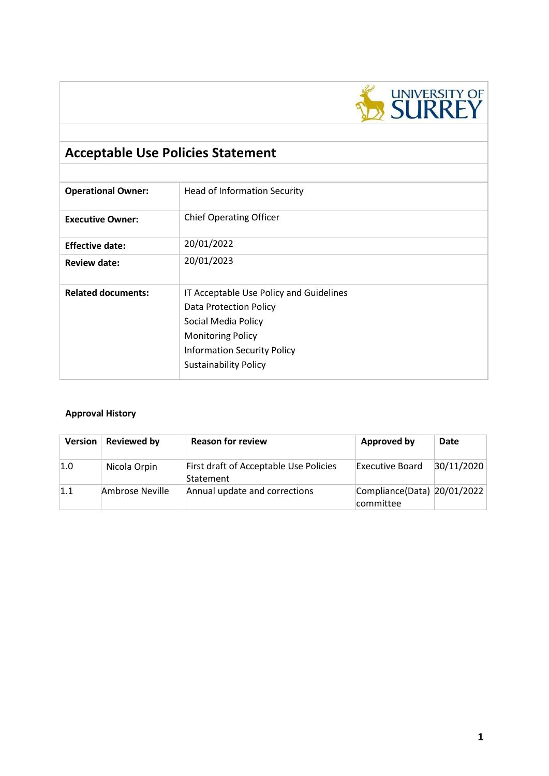

# **Acceptable Use Policies Statement**

| <b>Operational Owner:</b> | <b>Head of Information Security</b>                                                                                                                                                        |
|---------------------------|--------------------------------------------------------------------------------------------------------------------------------------------------------------------------------------------|
| <b>Executive Owner:</b>   | <b>Chief Operating Officer</b>                                                                                                                                                             |
| <b>Effective date:</b>    | 20/01/2022                                                                                                                                                                                 |
| <b>Review date:</b>       | 20/01/2023                                                                                                                                                                                 |
| <b>Related documents:</b> | IT Acceptable Use Policy and Guidelines<br>Data Protection Policy<br>Social Media Policy<br><b>Monitoring Policy</b><br><b>Information Security Policy</b><br><b>Sustainability Policy</b> |

## **Approval History**

| <b>Version</b> | <b>Reviewed by</b> | <b>Reason for review</b>                            | <b>Approved by</b>                       | Date       |
|----------------|--------------------|-----------------------------------------------------|------------------------------------------|------------|
| 1.0            | Nicola Orpin       | First draft of Acceptable Use Policies<br>Statement | Executive Board                          | 30/11/2020 |
| 1.1            | Ambrose Neville    | Annual update and corrections                       | Compliance(Data) 20/01/2022<br>committee |            |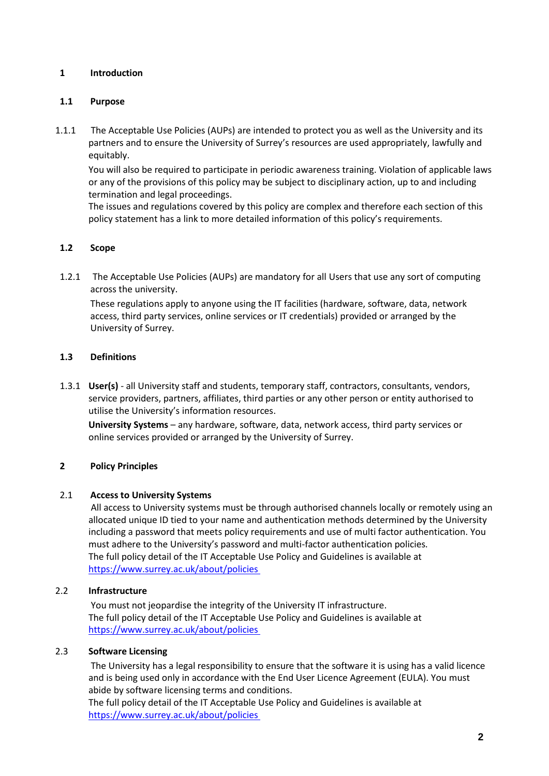## **1 Introduction**

#### **1.1 Purpose**

1.1.1 The Acceptable Use Policies (AUPs) are intended to protect you as well as the University and its partners and to ensure the University of Surrey's resources are used appropriately, lawfully and equitably.

You will also be required to participate in periodic awareness training. Violation of applicable laws or any of the provisions of this policy may be subject to disciplinary action, up to and including termination and legal proceedings.

The issues and regulations covered by this policy are complex and therefore each section of this policy statement has a link to more detailed information of this policy's requirements.

## **1.2 Scope**

1.2.1 The Acceptable Use Policies (AUPs) are mandatory for all Users that use any sort of computing across the university.

These regulations apply to anyone using the IT facilities (hardware, software, data, network access, third party services, online services or IT credentials) provided or arranged by the University of Surrey.

#### **1.3 Definitions**

1.3.1 **User(s)** - all University staff and students, temporary staff, contractors, consultants, vendors, service providers, partners, affiliates, third parties or any other person or entity authorised to utilise the University's information resources.

**University Systems** – any hardware, software, data, network access, third party services or online services provided or arranged by the University of Surrey.

## **2 Policy Principles**

#### 2.1 **Access to University Systems**

All access to University systems must be through authorised channels locally or remotely using an allocated unique ID tied to your name and authentication methods determined by the University including a password that meets policy requirements and use of multi factor authentication. You must adhere to the University's password and multi-factor authentication policies. The full policy detail of the IT Acceptable Use Policy and Guidelines is available at https://www.surrey.ac.uk/about/policies

#### 2.2 **Infrastructure**

You must not jeopardise the integrity of the University IT infrastructure. The full policy detail of the IT Acceptable Use Policy and Guidelines is available at https://www.surrey.ac.uk/about/policies

## 2.3 **Software Licensing**

The University has a legal responsibility to ensure that the software it is using has a valid licence and is being used only in accordance with the End User Licence Agreement (EULA). You must abide by software licensing terms and conditions.

The full policy detail of the IT Acceptable Use Policy and Guidelines is available at https://www.surrey.ac.uk/about/policies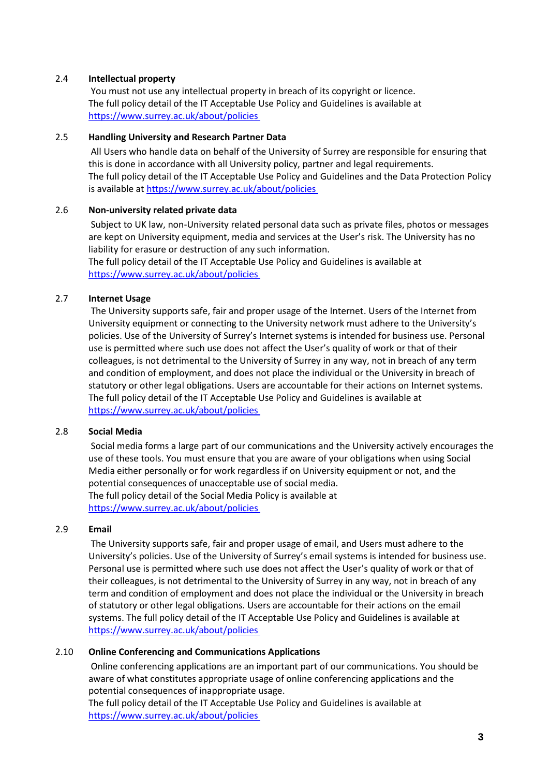### 2.4 **Intellectual property**

You must not use any intellectual property in breach of its copyright or licence. The full policy detail of the IT Acceptable Use Policy and Guidelines is available at https://www.surrey.ac.uk/about/policies

### 2.5 **Handling University and Research Partner Data**

All Users who handle data on behalf of the University of Surrey are responsible for ensuring that this is done in accordance with all University policy, partner and legal requirements. The full policy detail of the IT Acceptable Use Policy and Guidelines and the Data Protection Policy is available at https://www.surrey.ac.uk/about/policies

#### 2.6 **Non-university related private data**

Subject to UK law, non-University related personal data such as private files, photos or messages are kept on University equipment, media and services at the User's risk. The University has no liability for erasure or destruction of any such information.

The full policy detail of the IT Acceptable Use Policy and Guidelines is available at https://www.surrey.ac.uk/about/policies

#### 2.7 **Internet Usage**

The University supports safe, fair and proper usage of the Internet. Users of the Internet from University equipment or connecting to the University network must adhere to the University's policies. Use of the University of Surrey's Internet systems is intended for business use. Personal use is permitted where such use does not affect the User's quality of work or that of their colleagues, is not detrimental to the University of Surrey in any way, not in breach of any term and condition of employment, and does not place the individual or the University in breach of statutory or other legal obligations. Users are accountable for their actions on Internet systems. The full policy detail of the IT Acceptable Use Policy and Guidelines is available at https://www.surrey.ac.uk/about/policies

#### 2.8 **Social Media**

Social media forms a large part of our communications and the University actively encourages the use of these tools. You must ensure that you are aware of your obligations when using Social Media either personally or for work regardless if on University equipment or not, and the potential consequences of unacceptable use of social media. The full policy detail of the Social Media Policy is available at https://www.surrey.ac.uk/about/policies

#### 2.9 **Email**

The University supports safe, fair and proper usage of email, and Users must adhere to the University's policies. Use of the University of Surrey's email systems is intended for business use. Personal use is permitted where such use does not affect the User's quality of work or that of their colleagues, is not detrimental to the University of Surrey in any way, not in breach of any term and condition of employment and does not place the individual or the University in breach of statutory or other legal obligations. Users are accountable for their actions on the email systems. The full policy detail of the IT Acceptable Use Policy and Guidelines is available at https://www.surrey.ac.uk/about/policies

## 2.10 **Online Conferencing and Communications Applications**

Online conferencing applications are an important part of our communications. You should be aware of what constitutes appropriate usage of online conferencing applications and the potential consequences of inappropriate usage.

The full policy detail of the IT Acceptable Use Policy and Guidelines is available at https://www.surrey.ac.uk/about/policies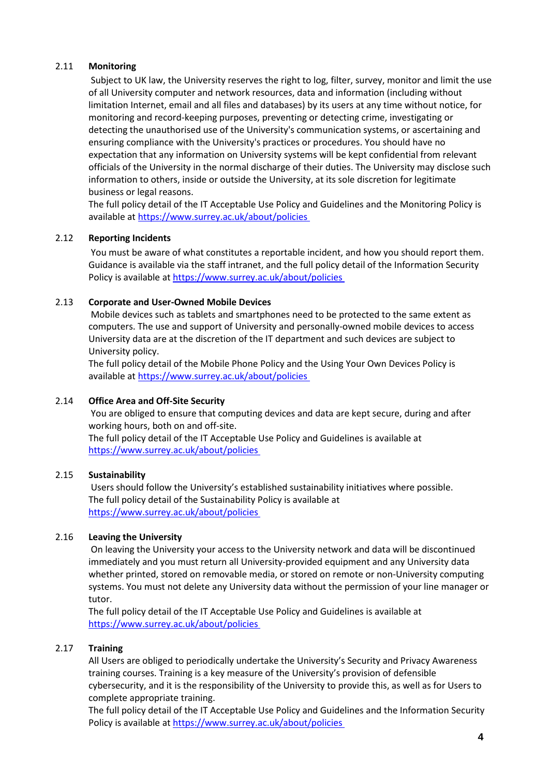#### 2.11 **Monitoring**

Subject to UK law, the University reserves the right to log, filter, survey, monitor and limit the use of all University computer and network resources, data and information (including without limitation Internet, email and all files and databases) by its users at any time without notice, for monitoring and record-keeping purposes, preventing or detecting crime, investigating or detecting the unauthorised use of the University's communication systems, or ascertaining and ensuring compliance with the University's practices or procedures. You should have no expectation that any information on University systems will be kept confidential from relevant officials of the University in the normal discharge of their duties. The University may disclose such information to others, inside or outside the University, at its sole discretion for legitimate business or legal reasons.

The full policy detail of the IT Acceptable Use Policy and Guidelines and the Monitoring Policy is available at https://www.surrey.ac.uk/about/policies

#### 2.12 **Reporting Incidents**

You must be aware of what constitutes a reportable incident, and how you should report them. Guidance is available via the staff intranet, and the full policy detail of the Information Security Policy is available at https://www.surrey.ac.uk/about/policies

#### 2.13 **Corporate and User-Owned Mobile Devices**

Mobile devices such as tablets and smartphones need to be protected to the same extent as computers. The use and support of University and personally-owned mobile devices to access University data are at the discretion of the IT department and such devices are subject to University policy.

The full policy detail of the Mobile Phone Policy and the Using Your Own Devices Policy is available at https://www.surrey.ac.uk/about/policies

## 2.14 **Office Area and Off-Site Security**

You are obliged to ensure that computing devices and data are kept secure, during and after working hours, both on and off-site.

The full policy detail of the IT Acceptable Use Policy and Guidelines is available at https://www.surrey.ac.uk/about/policies

## 2.15 **Sustainability**

Users should follow the University's established sustainability initiatives where possible. The full policy detail of the Sustainability Policy is available at https://www.surrey.ac.uk/about/policies

#### 2.16 **Leaving the University**

On leaving the University your access to the University network and data will be discontinued immediately and you must return all University-provided equipment and any University data whether printed, stored on removable media, or stored on remote or non-University computing systems. You must not delete any University data without the permission of your line manager or tutor.

The full policy detail of the IT Acceptable Use Policy and Guidelines is available at https://www.surrey.ac.uk/about/policies

#### 2.17 **Training**

All Users are obliged to periodically undertake the University's Security and Privacy Awareness training courses. Training is a key measure of the University's provision of defensible cybersecurity, and it is the responsibility of the University to provide this, as well as for Users to complete appropriate training.

The full policy detail of the IT Acceptable Use Policy and Guidelines and the Information Security Policy is available at https://www.surrey.ac.uk/about/policies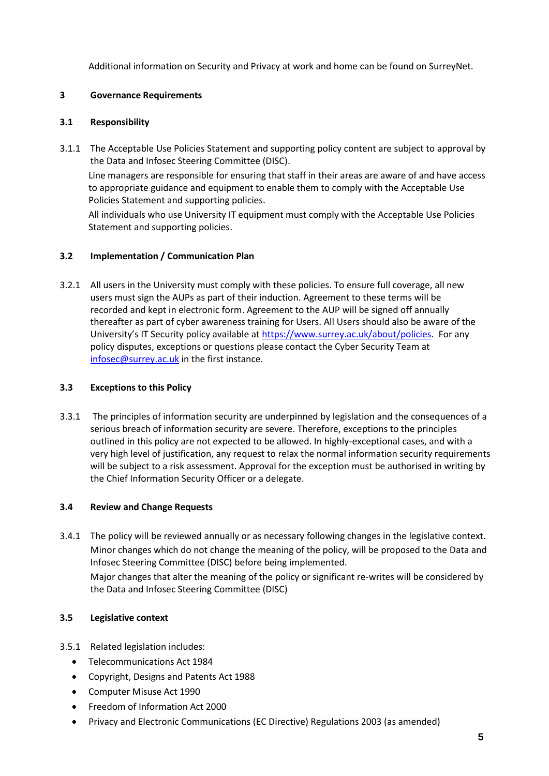Additional information on Security and Privacy at work and home can be found on SurreyNet.

## **3 Governance Requirements**

## **3.1 Responsibility**

3.1.1 The Acceptable Use Policies Statement and supporting policy content are subject to approval by the Data and Infosec Steering Committee (DISC). Line managers are responsible for ensuring that staff in their areas are aware of and have access to appropriate guidance and equipment to enable them to comply with the Acceptable Use Policies Statement and supporting policies. All individuals who use University IT equipment must comply with the Acceptable Use Policies

## **3.2 Implementation / Communication Plan**

Statement and supporting policies.

3.2.1 All users in the University must comply with these policies. To ensure full coverage, all new users must sign the AUPs as part of their induction. Agreement to these terms will be recorded and kept in electronic form. Agreement to the AUP will be signed off annually thereafter as part of cyber awareness training for Users. All Users should also be aware of the University's IT Security policy available at [https://www.surrey.ac.uk/about/policies.](https://www.surrey.ac.uk/about/policies) For any policy disputes, exceptions or questions please contact the Cyber Security Team at [infosec@surrey.ac.uk](mailto:infosec@surrey.ac.uk) in the first instance.

## **3.3 Exceptions to this Policy**

3.3.1 The principles of information security are underpinned by legislation and the consequences of a serious breach of information security are severe. Therefore, exceptions to the principles outlined in this policy are not expected to be allowed. In highly-exceptional cases, and with a very high level of justification, any request to relax the normal information security requirements will be subject to a risk assessment. Approval for the exception must be authorised in writing by the Chief Information Security Officer or a delegate.

## **3.4 Review and Change Requests**

3.4.1 The policy will be reviewed annually or as necessary following changes in the legislative context. Minor changes which do not change the meaning of the policy, will be proposed to the Data and Infosec Steering Committee (DISC) before being implemented. Major changes that alter the meaning of the policy or significant re-writes will be considered by the Data and Infosec Steering Committee (DISC)

## **3.5 Legislative context**

- 3.5.1 Related legislation includes:
	- Telecommunications Act 1984
	- Copyright, Designs and Patents Act 1988
	- Computer Misuse Act 1990
	- Freedom of Information Act 2000
	- Privacy and Electronic Communications (EC Directive) Regulations 2003 (as amended)